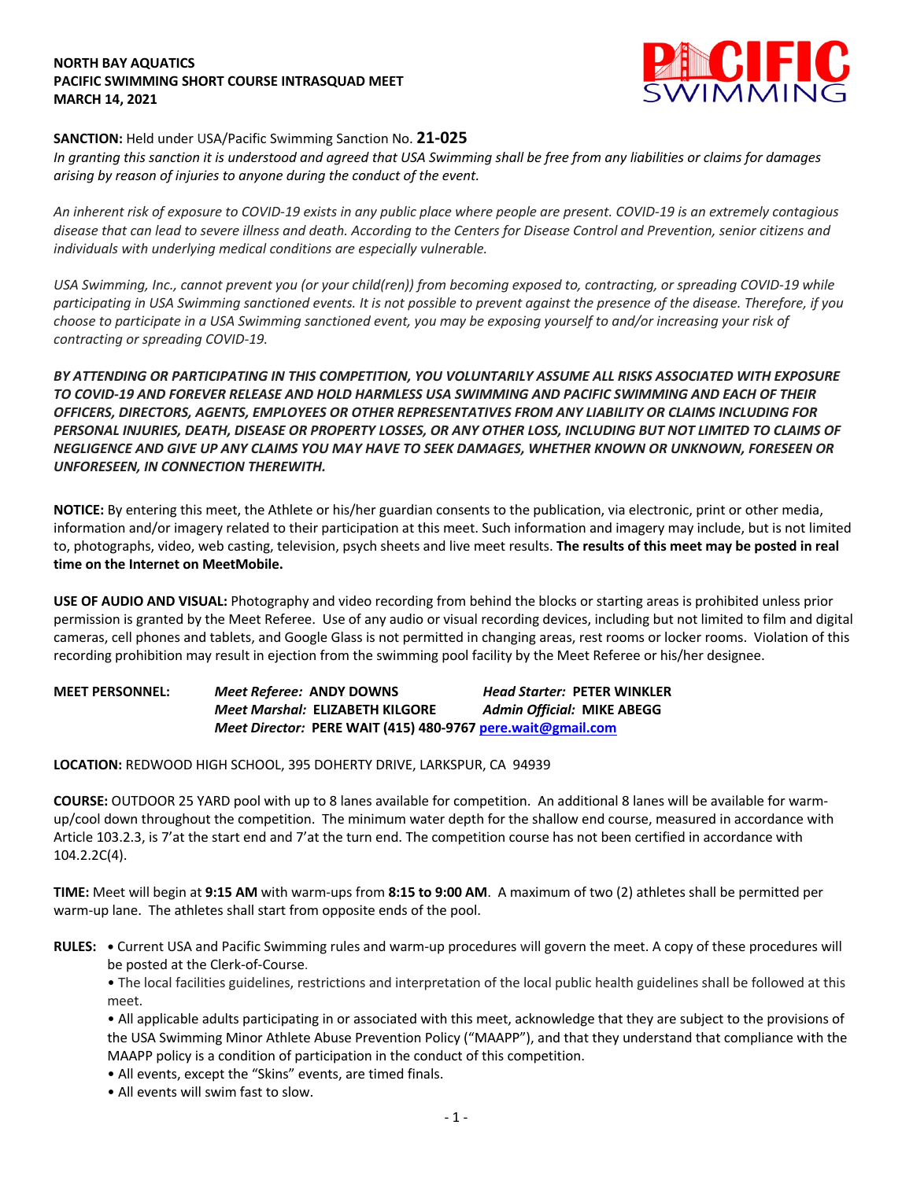## **NORTH BAY AQUATICS PACIFIC SWIMMING SHORT COURSE INTRASQUAD MEET MARCH 14, 2021**



## **SANCTION:** Held under USA/Pacific Swimming Sanction No. **21-025**

*In granting this sanction it is understood and agreed that USA Swimming shall be free from any liabilities or claims for damages arising by reason of injuries to anyone during the conduct of the event.* 

*An inherent risk of exposure to COVID-19 exists in any public place where people are present. COVID-19 is an extremely contagious disease that can lead to severe illness and death. According to the Centers for Disease Control and Prevention, senior citizens and individuals with underlying medical conditions are especially vulnerable.*

*USA Swimming, Inc., cannot prevent you (or your child(ren)) from becoming exposed to, contracting, or spreading COVID-19 while participating in USA Swimming sanctioned events. It is not possible to prevent against the presence of the disease. Therefore, if you choose to participate in a USA Swimming sanctioned event, you may be exposing yourself to and/or increasing your risk of contracting or spreading COVID-19.*

*BY ATTENDING OR PARTICIPATING IN THIS COMPETITION, YOU VOLUNTARILY ASSUME ALL RISKS ASSOCIATED WITH EXPOSURE TO COVID-19 AND FOREVER RELEASE AND HOLD HARMLESS USA SWIMMING AND PACIFIC SWIMMING AND EACH OF THEIR OFFICERS, DIRECTORS, AGENTS, EMPLOYEES OR OTHER REPRESENTATIVES FROM ANY LIABILITY OR CLAIMS INCLUDING FOR PERSONAL INJURIES, DEATH, DISEASE OR PROPERTY LOSSES, OR ANY OTHER LOSS, INCLUDING BUT NOT LIMITED TO CLAIMS OF NEGLIGENCE AND GIVE UP ANY CLAIMS YOU MAY HAVE TO SEEK DAMAGES, WHETHER KNOWN OR UNKNOWN, FORESEEN OR UNFORESEEN, IN CONNECTION THEREWITH.*

**NOTICE:** By entering this meet, the Athlete or his/her guardian consents to the publication, via electronic, print or other media, information and/or imagery related to their participation at this meet. Such information and imagery may include, but is not limited to, photographs, video, web casting, television, psych sheets and live meet results. **The results of this meet may be posted in real time on the Internet on MeetMobile.**

**USE OF AUDIO AND VISUAL:** Photography and video recording from behind the blocks or starting areas is prohibited unless prior permission is granted by the Meet Referee. Use of any audio or visual recording devices, including but not limited to film and digital cameras, cell phones and tablets, and Google Glass is not permitted in changing areas, rest rooms or locker rooms. Violation of this recording prohibition may result in ejection from the swimming pool facility by the Meet Referee or his/her designee.

**MEET PERSONNEL:** *Meet Referee:* **ANDY DOWNS** *Head Starter:* **PETER WINKLER** *Meet Marshal:* **ELIZABETH KILGORE** *Admin Official:* **MIKE ABEGG** *Meet Director:* **PERE WAIT (415) 480-9767 pere.wait@gmail.com**

**LOCATION:** REDWOOD HIGH SCHOOL, 395 DOHERTY DRIVE, LARKSPUR, CA 94939

**COURSE:** OUTDOOR 25 YARD pool with up to 8 lanes available for competition. An additional 8 lanes will be available for warmup/cool down throughout the competition. The minimum water depth for the shallow end course, measured in accordance with Article 103.2.3, is 7'at the start end and 7'at the turn end. The competition course has not been certified in accordance with 104.2.2C(4).

**TIME:** Meet will begin at **9:15 AM** with warm-ups from **8:15 to 9:00 AM**. A maximum of two (2) athletes shall be permitted per warm-up lane. The athletes shall start from opposite ends of the pool.

**RULES: •** Current USA and Pacific Swimming rules and warm-up procedures will govern the meet. A copy of these procedures will be posted at the Clerk-of-Course.

• The local facilities guidelines, restrictions and interpretation of the local public health guidelines shall be followed at this meet.

• All applicable adults participating in or associated with this meet, acknowledge that they are subject to the provisions of the USA Swimming Minor Athlete Abuse Prevention Policy ("MAAPP"), and that they understand that compliance with the MAAPP policy is a condition of participation in the conduct of this competition.

- All events, except the "Skins" events, are timed finals.
- All events will swim fast to slow.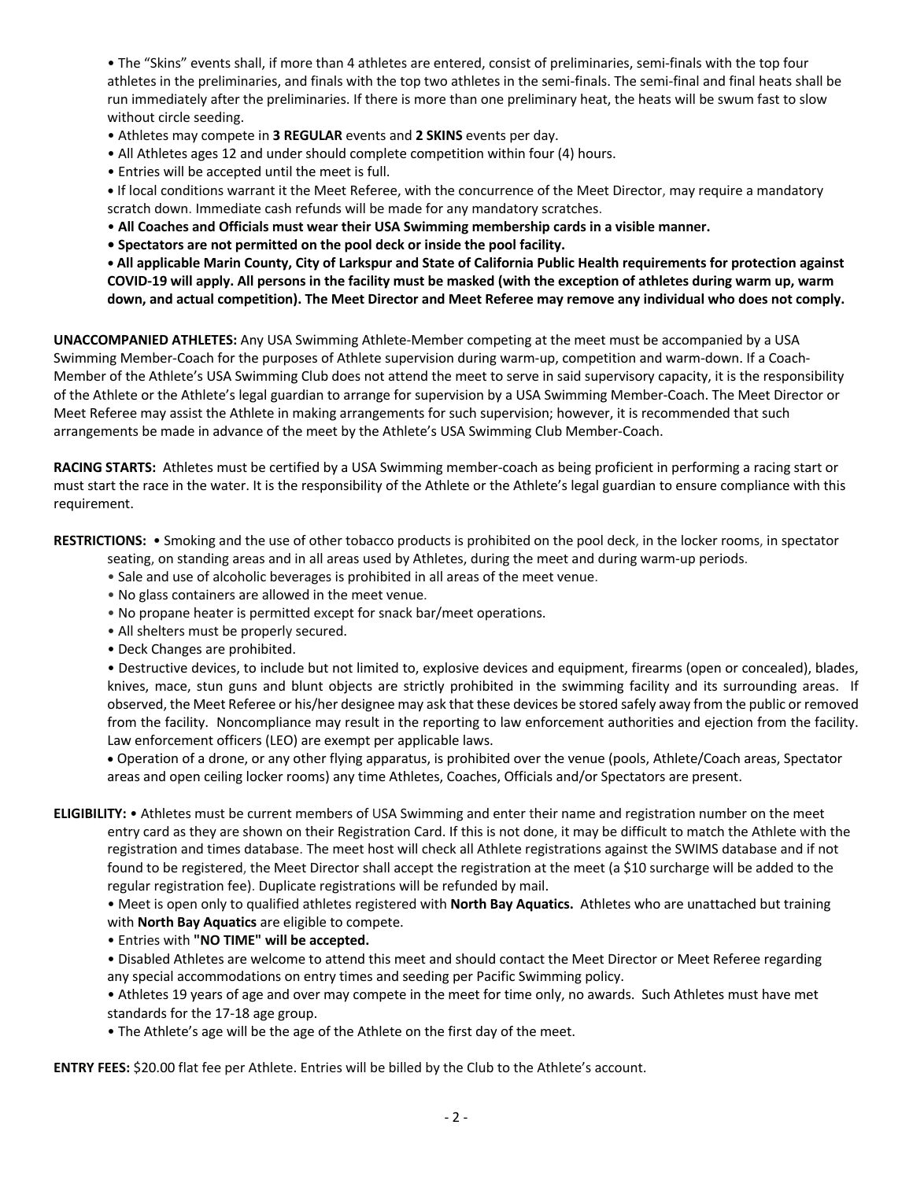• The "Skins" events shall, if more than 4 athletes are entered, consist of preliminaries, semi-finals with the top four athletes in the preliminaries, and finals with the top two athletes in the semi-finals. The semi-final and final heats shall be run immediately after the preliminaries. If there is more than one preliminary heat, the heats will be swum fast to slow without circle seeding.

- Athletes may compete in **3 REGULAR** events and **2 SKINS** events per day.
- All Athletes ages 12 and under should complete competition within four (4) hours.
- Entries will be accepted until the meet is full.

**•** If local conditions warrant it the Meet Referee, with the concurrence of the Meet Director, may require a mandatory scratch down. Immediate cash refunds will be made for any mandatory scratches.

- **All Coaches and Officials must wear their USA Swimming membership cards in a visible manner.**
- **Spectators are not permitted on the pool deck or inside the pool facility.**

**• All applicable Marin County, City of Larkspur and State of California Public Health requirements for protection against COVID-19 will apply. All persons in the facility must be masked (with the exception of athletes during warm up, warm down, and actual competition). The Meet Director and Meet Referee may remove any individual who does not comply.** 

**UNACCOMPANIED ATHLETES:** Any USA Swimming Athlete-Member competing at the meet must be accompanied by a USA Swimming Member-Coach for the purposes of Athlete supervision during warm-up, competition and warm-down. If a Coach-Member of the Athlete's USA Swimming Club does not attend the meet to serve in said supervisory capacity, it is the responsibility of the Athlete or the Athlete's legal guardian to arrange for supervision by a USA Swimming Member-Coach. The Meet Director or Meet Referee may assist the Athlete in making arrangements for such supervision; however, it is recommended that such arrangements be made in advance of the meet by the Athlete's USA Swimming Club Member-Coach.

**RACING STARTS:** Athletes must be certified by a USA Swimming member-coach as being proficient in performing a racing start or must start the race in the water. It is the responsibility of the Athlete or the Athlete's legal guardian to ensure compliance with this requirement.

**RESTRICTIONS:** • Smoking and the use of other tobacco products is prohibited on the pool deck, in the locker rooms, in spectator

- seating, on standing areas and in all areas used by Athletes, during the meet and during warm-up periods.
- Sale and use of alcoholic beverages is prohibited in all areas of the meet venue.
- No glass containers are allowed in the meet venue.
- No propane heater is permitted except for snack bar/meet operations.
- All shelters must be properly secured.
- Deck Changes are prohibited.

• Destructive devices, to include but not limited to, explosive devices and equipment, firearms (open or concealed), blades, knives, mace, stun guns and blunt objects are strictly prohibited in the swimming facility and its surrounding areas. If observed, the Meet Referee or his/her designee may ask that these devices be stored safely away from the public or removed from the facility. Noncompliance may result in the reporting to law enforcement authorities and ejection from the facility. Law enforcement officers (LEO) are exempt per applicable laws.

• Operation of a drone, or any other flying apparatus, is prohibited over the venue (pools, Athlete/Coach areas, Spectator areas and open ceiling locker rooms) any time Athletes, Coaches, Officials and/or Spectators are present.

**ELIGIBILITY:** • Athletes must be current members of USA Swimming and enter their name and registration number on the meet entry card as they are shown on their Registration Card. If this is not done, it may be difficult to match the Athlete with the registration and times database. The meet host will check all Athlete registrations against the SWIMS database and if not found to be registered, the Meet Director shall accept the registration at the meet (a \$10 surcharge will be added to the regular registration fee). Duplicate registrations will be refunded by mail.

• Meet is open only to qualified athletes registered with **North Bay Aquatics.** Athletes who are unattached but training with **North Bay Aquatics** are eligible to compete.

• Entries with **"NO TIME" will be accepted.**

• Disabled Athletes are welcome to attend this meet and should contact the Meet Director or Meet Referee regarding any special accommodations on entry times and seeding per Pacific Swimming policy.

• Athletes 19 years of age and over may compete in the meet for time only, no awards. Such Athletes must have met standards for the 17-18 age group.

• The Athlete's age will be the age of the Athlete on the first day of the meet.

**ENTRY FEES:** \$20.00 flat fee per Athlete. Entries will be billed by the Club to the Athlete's account.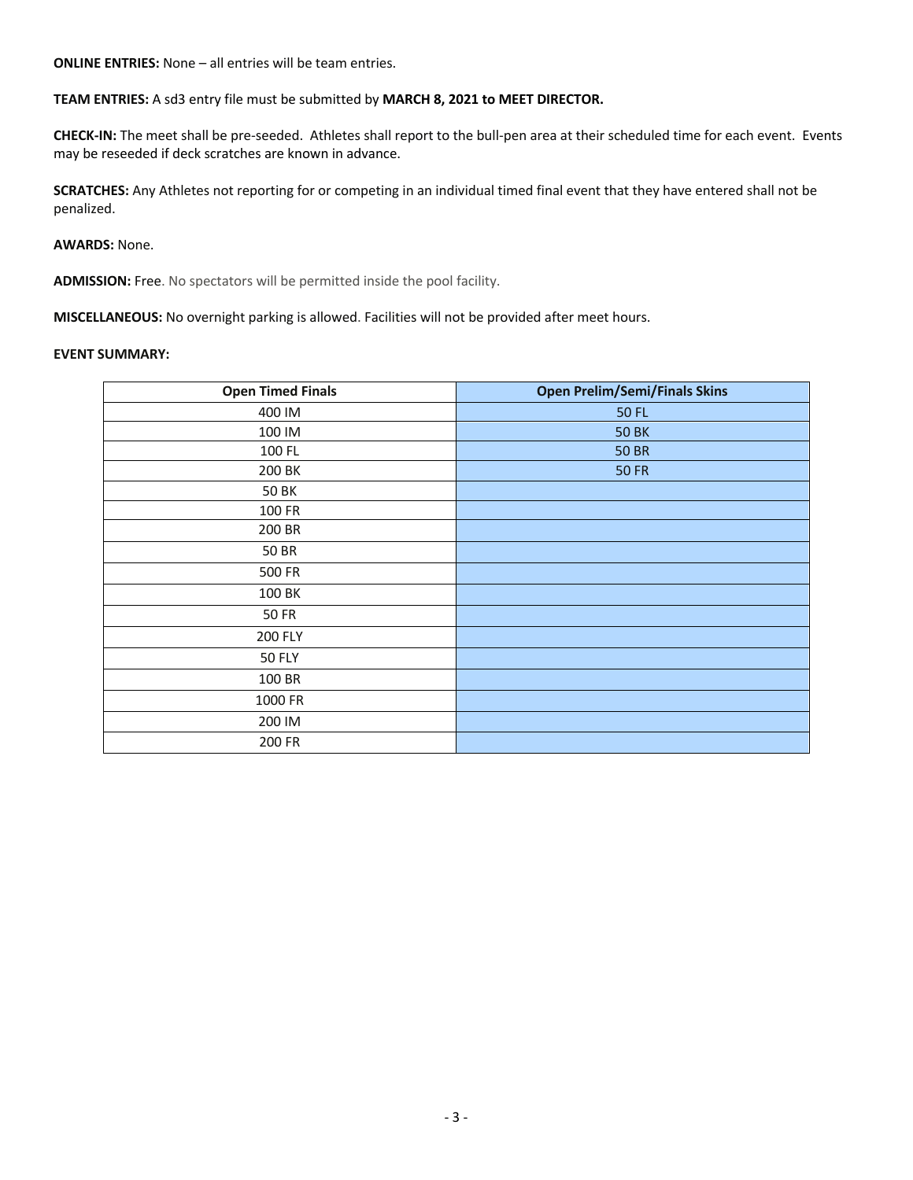**ONLINE ENTRIES:** None – all entries will be team entries.

**TEAM ENTRIES:** A sd3 entry file must be submitted by **MARCH 8, 2021 to MEET DIRECTOR.**

**CHECK-IN:** The meet shall be pre-seeded. Athletes shall report to the bull-pen area at their scheduled time for each event. Events may be reseeded if deck scratches are known in advance.

**SCRATCHES:** Any Athletes not reporting for or competing in an individual timed final event that they have entered shall not be penalized.

### **AWARDS:** None.

**ADMISSION:** Free. No spectators will be permitted inside the pool facility.

**MISCELLANEOUS:** No overnight parking is allowed. Facilities will not be provided after meet hours.

#### **EVENT SUMMARY:**

| <b>Open Timed Finals</b> | <b>Open Prelim/Semi/Finals Skins</b> |
|--------------------------|--------------------------------------|
| 400 IM                   | <b>50 FL</b>                         |
| 100 IM                   | <b>50 BK</b>                         |
| 100 FL                   | <b>50 BR</b>                         |
| 200 BK                   | <b>50 FR</b>                         |
| <b>50 BK</b>             |                                      |
| 100 FR                   |                                      |
| 200 BR                   |                                      |
| 50 BR                    |                                      |
| 500 FR                   |                                      |
| 100 BK                   |                                      |
| <b>50 FR</b>             |                                      |
| 200 FLY                  |                                      |
| <b>50 FLY</b>            |                                      |
| 100 BR                   |                                      |
| 1000 FR                  |                                      |
| 200 IM                   |                                      |
| 200 FR                   |                                      |